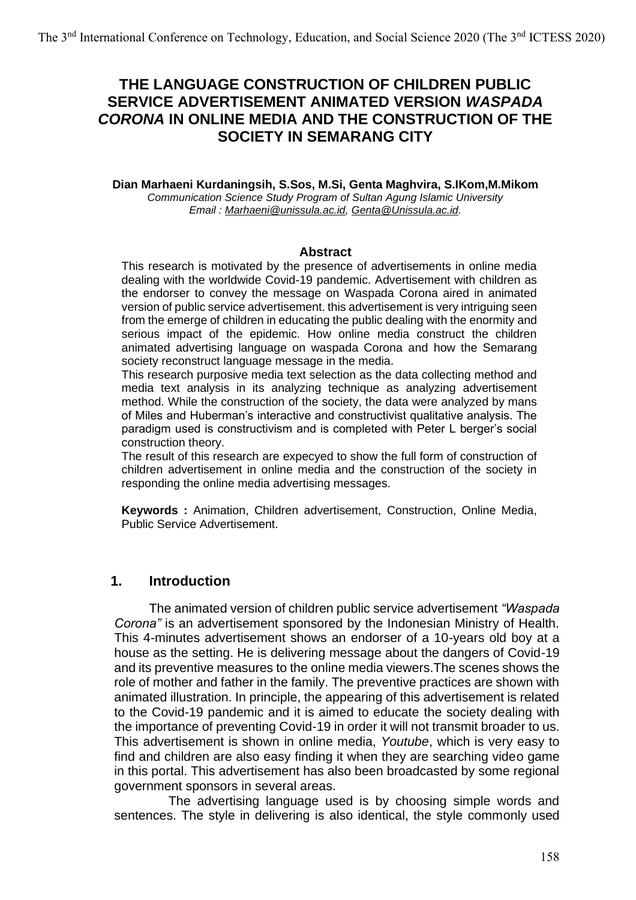# **THE LANGUAGE CONSTRUCTION OF CHILDREN PUBLIC SERVICE ADVERTISEMENT ANIMATED VERSION** *WASPADA CORONA* **IN ONLINE MEDIA AND THE CONSTRUCTION OF THE SOCIETY IN SEMARANG CITY**

**Dian Marhaeni Kurdaningsih, S.Sos, M.Si, Genta Maghvira, S.IKom,M.Mikom** *Communication Science Study Program of Sultan Agung Islamic University Email : [Marhaeni@unissula.ac.id,](mailto:Marhaeni@unissula.ac.id) [Genta@Unissula.ac.id.](mailto:Genta@Unissula.ac.id)*

#### **Abstract**

This research is motivated by the presence of advertisements in online media dealing with the worldwide Covid-19 pandemic. Advertisement with children as the endorser to convey the message on Waspada Corona aired in animated version of public service advertisement. this advertisement is very intriguing seen from the emerge of children in educating the public dealing with the enormity and serious impact of the epidemic. How online media construct the children animated advertising language on waspada Corona and how the Semarang society reconstruct language message in the media.

This research purposive media text selection as the data collecting method and media text analysis in its analyzing technique as analyzing advertisement method. While the construction of the society, the data were analyzed by mans of Miles and Huberman's interactive and constructivist qualitative analysis. The paradigm used is constructivism and is completed with Peter L berger's social construction theory.

The result of this research are expecyed to show the full form of construction of children advertisement in online media and the construction of the society in responding the online media advertising messages.

**Keywords :** Animation, Children advertisement, Construction, Online Media, Public Service Advertisement.

### **1. Introduction**

The animated version of children public service advertisement *"Waspada Corona"* is an advertisement sponsored by the Indonesian Ministry of Health. This 4-minutes advertisement shows an endorser of a 10-years old boy at a house as the setting. He is delivering message about the dangers of Covid-19 and its preventive measures to the online media viewers.The scenes shows the role of mother and father in the family. The preventive practices are shown with animated illustration. In principle, the appearing of this advertisement is related to the Covid-19 pandemic and it is aimed to educate the society dealing with the importance of preventing Covid-19 in order it will not transmit broader to us. This advertisement is shown in online media, *Youtube*, which is very easy to find and children are also easy finding it when they are searching video game in this portal. This advertisement has also been broadcasted by some regional government sponsors in several areas.

The advertising language used is by choosing simple words and sentences. The style in delivering is also identical, the style commonly used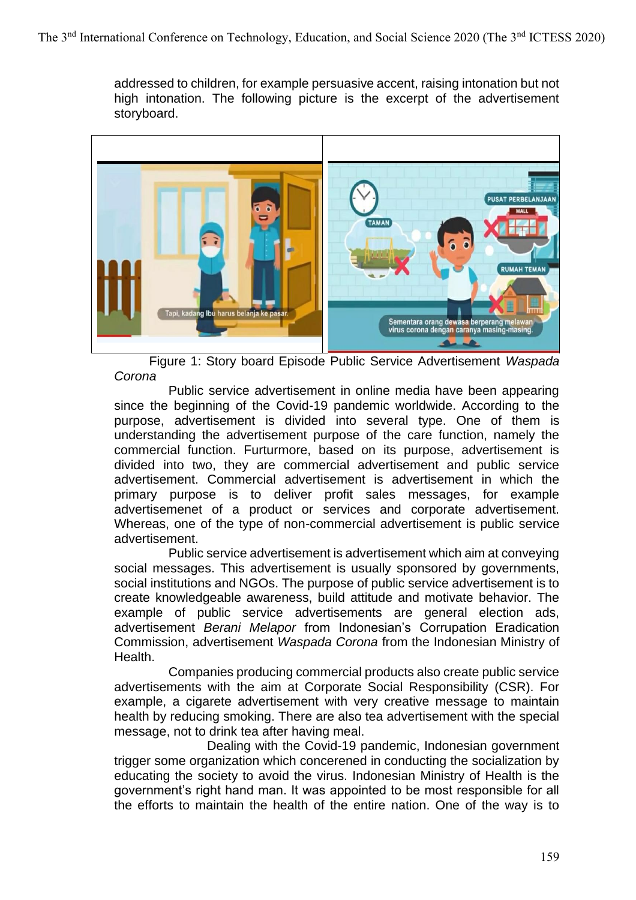addressed to children, for example persuasive accent, raising intonation but not high intonation. The following picture is the excerpt of the advertisement storyboard.



Figure 1: Story board Episode Public Service Advertisement *Waspada Corona*

Public service advertisement in online media have been appearing since the beginning of the Covid-19 pandemic worldwide. According to the purpose, advertisement is divided into several type. One of them is understanding the advertisement purpose of the care function, namely the commercial function. Furturmore, based on its purpose, advertisement is divided into two, they are commercial advertisement and public service advertisement. Commercial advertisement is advertisement in which the primary purpose is to deliver profit sales messages, for example advertisemenet of a product or services and corporate advertisement. Whereas, one of the type of non-commercial advertisement is public service advertisement.

Public service advertisement is advertisement which aim at conveying social messages. This advertisement is usually sponsored by governments, social institutions and NGOs. The purpose of public service advertisement is to create knowledgeable awareness, build attitude and motivate behavior. The example of public service advertisements are general election ads, advertisement *Berani Melapor* from Indonesian's Corrupation Eradication Commission, advertisement *Waspada Corona* from the Indonesian Ministry of Health.

Companies producing commercial products also create public service advertisements with the aim at Corporate Social Responsibility (CSR). For example, a cigarete advertisement with very creative message to maintain health by reducing smoking. There are also tea advertisement with the special message, not to drink tea after having meal.

Dealing with the Covid-19 pandemic, Indonesian government trigger some organization which concerened in conducting the socialization by educating the society to avoid the virus. Indonesian Ministry of Health is the government's right hand man. It was appointed to be most responsible for all the efforts to maintain the health of the entire nation. One of the way is to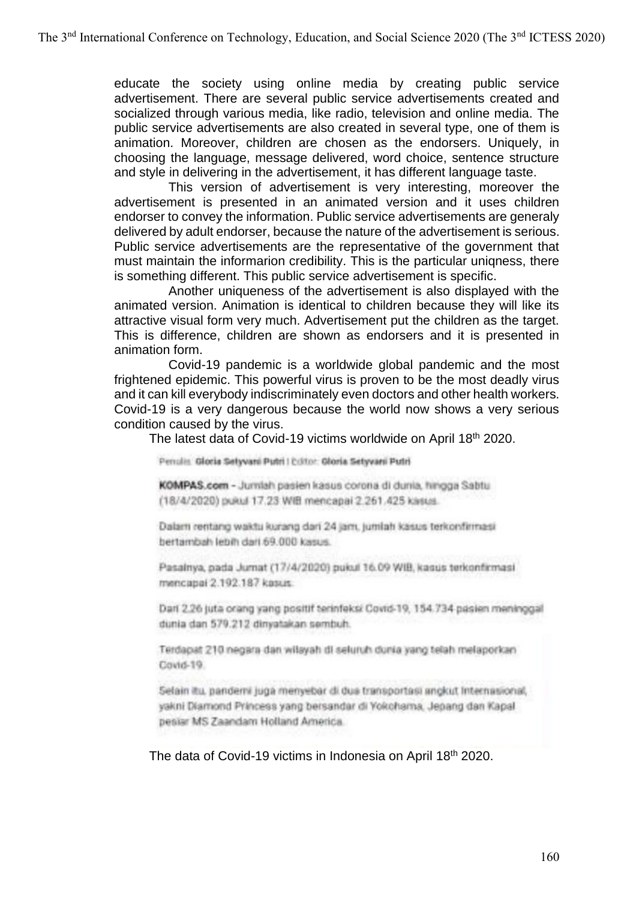educate the society using online media by creating public service advertisement. There are several public service advertisements created and socialized through various media, like radio, television and online media. The public service advertisements are also created in several type, one of them is animation. Moreover, children are chosen as the endorsers. Uniquely, in choosing the language, message delivered, word choice, sentence structure and style in delivering in the advertisement, it has different language taste.

This version of advertisement is very interesting, moreover the advertisement is presented in an animated version and it uses children endorser to convey the information. Public service advertisements are generaly delivered by adult endorser, because the nature of the advertisement is serious. Public service advertisements are the representative of the government that must maintain the informarion credibility. This is the particular uniqness, there is something different. This public service advertisement is specific.

Another uniqueness of the advertisement is also displayed with the animated version. Animation is identical to children because they will like its attractive visual form very much. Advertisement put the children as the target. This is difference, children are shown as endorsers and it is presented in animation form.

Covid-19 pandemic is a worldwide global pandemic and the most frightened epidemic. This powerful virus is proven to be the most deadly virus and it can kill everybody indiscriminately even doctors and other health workers. Covid-19 is a very dangerous because the world now shows a very serious condition caused by the virus.

The latest data of Covid-19 victims worldwide on April 18th 2020.

Penulis, Gloria Selyvani Putri | Editor, Gloria Setyvani Putri

KOMPAS.com - Jumlah pasien kasus corona di dunia, hingga Sabtu (18/4/2020) pukul 17.23 Will mencapai 2.261.425 kssus.

Dalam rentang waktu kurang dari 24 jam, jumlah kasus terkonfirmasi bertambah lebih dari 69.000 kasus.

Pasalnya, pada Jumat (17/4/2020) pukul 16.09 WIB, kasus terkonfirmasi mencapai 2.192.187 kasus.

Dari 2.26 juta orang yang positif terinfeksi Covid-19, 154.734 pasien meninggal dunia dan 579.212 dinyatakan sembuh.

Terdapat 210 negara dan wilayah di seluruh dunia yang telah melaporkan Covid-19.

Selain itu, pandemi juga menyebar di dua transportasi angkut Internasional, yakni Diamond Princess yang bersandar di Yokohama, Jepang dan Kapal pesiar MS Zaandam Holland America.

The data of Covid-19 victims in Indonesia on April 18th 2020.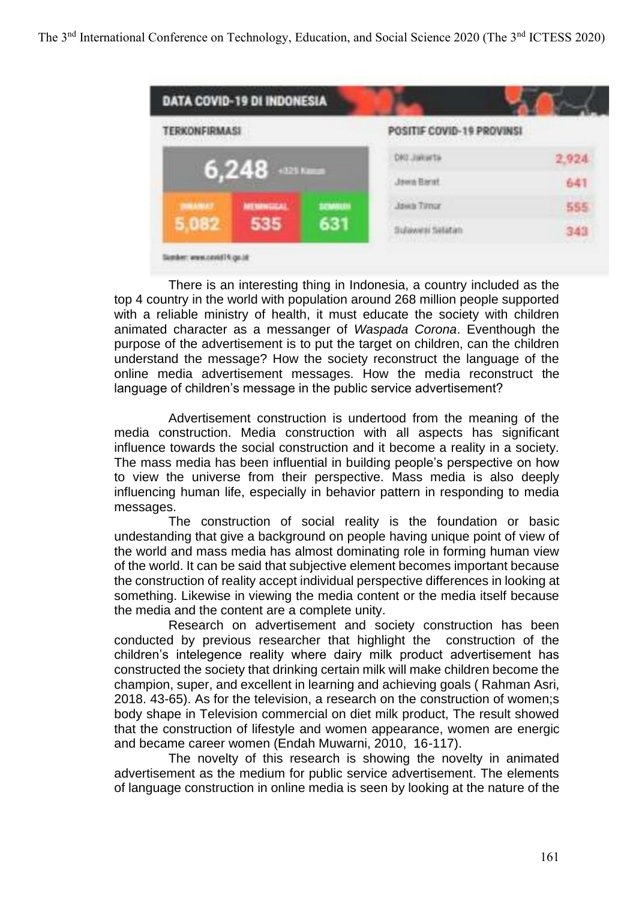

There is an interesting thing in Indonesia, a country included as the top 4 country in the world with population around 268 million people supported with a reliable ministry of health, it must educate the society with children animated character as a messanger of *Waspada Corona*. Eventhough the purpose of the advertisement is to put the target on children, can the children understand the message? How the society reconstruct the language of the online media advertisement messages. How the media reconstruct the language of children's message in the public service advertisement?

Advertisement construction is undertood from the meaning of the media construction. Media construction with all aspects has significant influence towards the social construction and it become a reality in a society. The mass media has been influential in building people's perspective on how to view the universe from their perspective. Mass media is also deeply influencing human life, especially in behavior pattern in responding to media messages.

The construction of social reality is the foundation or basic undestanding that give a background on people having unique point of view of the world and mass media has almost dominating role in forming human view of the world. It can be said that subjective element becomes important because the construction of reality accept individual perspective differences in looking at something. Likewise in viewing the media content or the media itself because the media and the content are a complete unity.

Research on advertisement and society construction has been conducted by previous researcher that highlight the construction of the children's intelegence reality where dairy milk product advertisement has constructed the society that drinking certain milk will make children become the champion, super, and excellent in learning and achieving goals ( Rahman Asri, 2018. 43-65). As for the television, a research on the construction of women;s body shape in Television commercial on diet milk product, The result showed that the construction of lifestyle and women appearance, women are energic and became career women (Endah Muwarni, 2010, 16-117).

The novelty of this research is showing the novelty in animated advertisement as the medium for public service advertisement. The elements of language construction in online media is seen by looking at the nature of the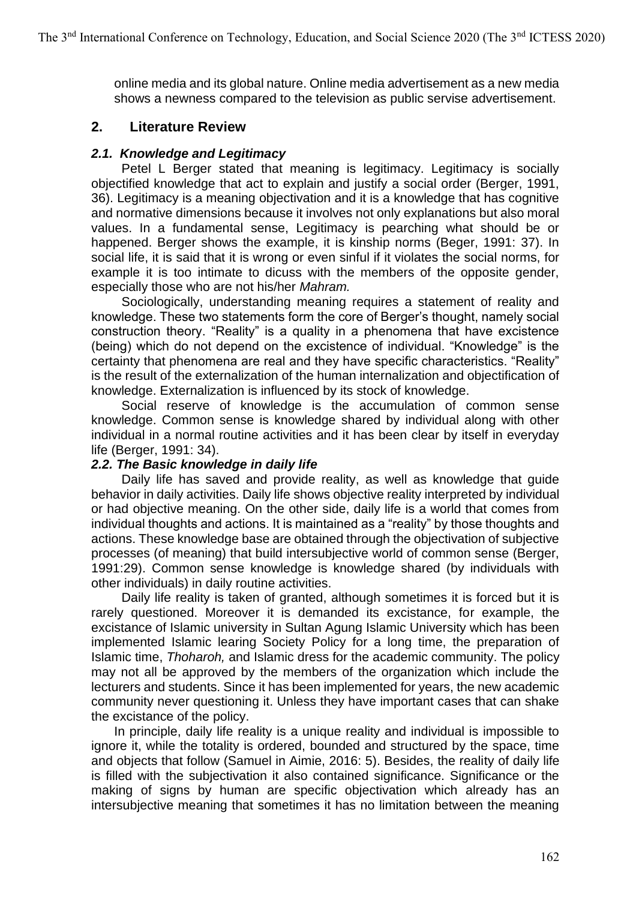online media and its global nature. Online media advertisement as a new media shows a newness compared to the television as public servise advertisement.

### **2. Literature Review**

### *2.1. Knowledge and Legitimacy*

Petel L Berger stated that meaning is legitimacy. Legitimacy is socially objectified knowledge that act to explain and justify a social order (Berger, 1991, 36). Legitimacy is a meaning objectivation and it is a knowledge that has cognitive and normative dimensions because it involves not only explanations but also moral values. In a fundamental sense, Legitimacy is pearching what should be or happened. Berger shows the example, it is kinship norms (Beger, 1991: 37). In social life, it is said that it is wrong or even sinful if it violates the social norms, for example it is too intimate to dicuss with the members of the opposite gender, especially those who are not his/her *Mahram.*

Sociologically, understanding meaning requires a statement of reality and knowledge. These two statements form the core of Berger's thought, namely social construction theory. "Reality" is a quality in a phenomena that have excistence (being) which do not depend on the excistence of individual. "Knowledge" is the certainty that phenomena are real and they have specific characteristics. "Reality" is the result of the externalization of the human internalization and objectification of knowledge. Externalization is influenced by its stock of knowledge.

Social reserve of knowledge is the accumulation of common sense knowledge. Common sense is knowledge shared by individual along with other individual in a normal routine activities and it has been clear by itself in everyday life (Berger, 1991: 34).

### *2.2. The Basic knowledge in daily life*

Daily life has saved and provide reality, as well as knowledge that guide behavior in daily activities. Daily life shows objective reality interpreted by individual or had objective meaning. On the other side, daily life is a world that comes from individual thoughts and actions. It is maintained as a "reality" by those thoughts and actions. These knowledge base are obtained through the objectivation of subjective processes (of meaning) that build intersubjective world of common sense (Berger, 1991:29). Common sense knowledge is knowledge shared (by individuals with other individuals) in daily routine activities.

Daily life reality is taken of granted, although sometimes it is forced but it is rarely questioned. Moreover it is demanded its excistance, for example, the excistance of Islamic university in Sultan Agung Islamic University which has been implemented Islamic learing Society Policy for a long time, the preparation of Islamic time, *Thoharoh,* and Islamic dress for the academic community. The policy may not all be approved by the members of the organization which include the lecturers and students. Since it has been implemented for years, the new academic community never questioning it. Unless they have important cases that can shake the excistance of the policy.

In principle, daily life reality is a unique reality and individual is impossible to ignore it, while the totality is ordered, bounded and structured by the space, time and objects that follow (Samuel in Aimie, 2016: 5). Besides, the reality of daily life is filled with the subjectivation it also contained significance. Significance or the making of signs by human are specific objectivation which already has an intersubjective meaning that sometimes it has no limitation between the meaning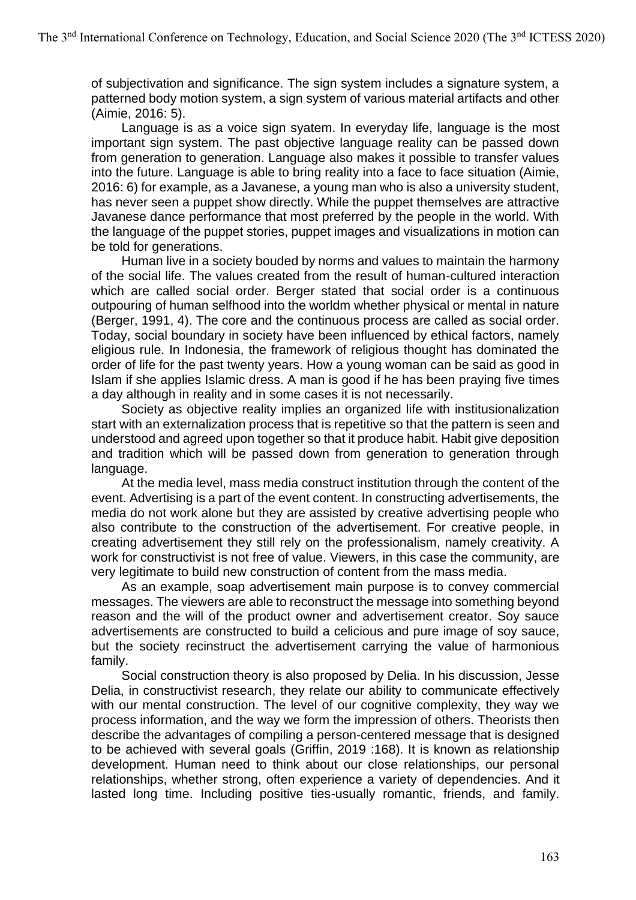of subjectivation and significance. The sign system includes a signature system, a patterned body motion system, a sign system of various material artifacts and other (Aimie, 2016: 5).

Language is as a voice sign syatem. In everyday life, language is the most important sign system. The past objective language reality can be passed down from generation to generation. Language also makes it possible to transfer values into the future. Language is able to bring reality into a face to face situation (Aimie, 2016: 6) for example, as a Javanese, a young man who is also a university student, has never seen a puppet show directly. While the puppet themselves are attractive Javanese dance performance that most preferred by the people in the world. With the language of the puppet stories, puppet images and visualizations in motion can be told for generations.

Human live in a society bouded by norms and values to maintain the harmony of the social life. The values created from the result of human-cultured interaction which are called social order. Berger stated that social order is a continuous outpouring of human selfhood into the worldm whether physical or mental in nature (Berger, 1991, 4). The core and the continuous process are called as social order. Today, social boundary in society have been influenced by ethical factors, namely eligious rule. In Indonesia, the framework of religious thought has dominated the order of life for the past twenty years. How a young woman can be said as good in Islam if she applies Islamic dress. A man is good if he has been praying five times a day although in reality and in some cases it is not necessarily.

Society as objective reality implies an organized life with institusionalization start with an externalization process that is repetitive so that the pattern is seen and understood and agreed upon together so that it produce habit. Habit give deposition and tradition which will be passed down from generation to generation through language.

At the media level, mass media construct institution through the content of the event. Advertising is a part of the event content. In constructing advertisements, the media do not work alone but they are assisted by creative advertising people who also contribute to the construction of the advertisement. For creative people, in creating advertisement they still rely on the professionalism, namely creativity. A work for constructivist is not free of value. Viewers, in this case the community, are very legitimate to build new construction of content from the mass media.

As an example, soap advertisement main purpose is to convey commercial messages. The viewers are able to reconstruct the message into something beyond reason and the will of the product owner and advertisement creator. Soy sauce advertisements are constructed to build a celicious and pure image of soy sauce, but the society recinstruct the advertisement carrying the value of harmonious family.

Social construction theory is also proposed by Delia. In his discussion, Jesse Delia, in constructivist research, they relate our ability to communicate effectively with our mental construction. The level of our cognitive complexity, they way we process information, and the way we form the impression of others. Theorists then describe the advantages of compiling a person-centered message that is designed to be achieved with several goals (Griffin, 2019 :168). It is known as relationship development. Human need to think about our close relationships, our personal relationships, whether strong, often experience a variety of dependencies. And it lasted long time. Including positive ties-usually romantic, friends, and family.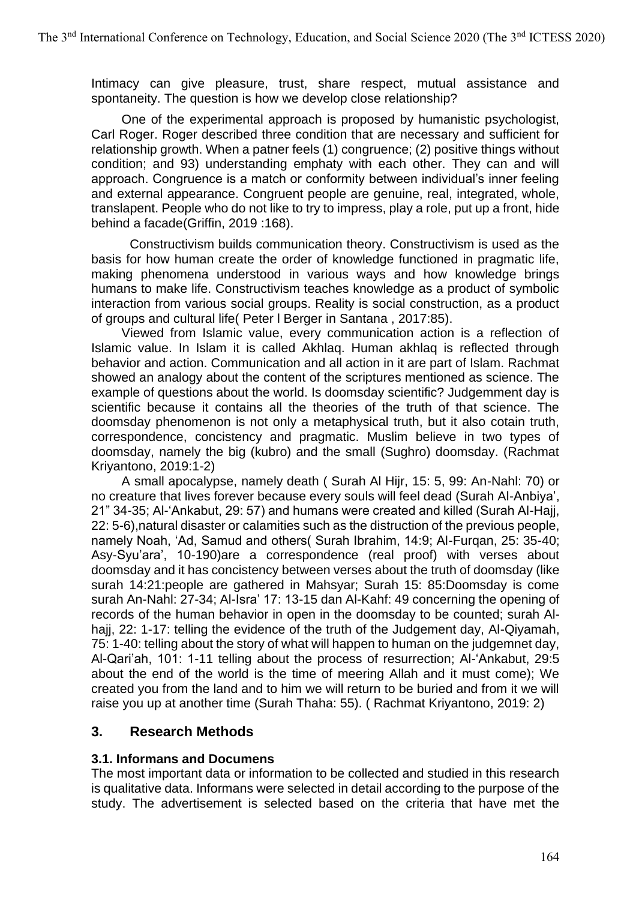Intimacy can give pleasure, trust, share respect, mutual assistance and spontaneity. The question is how we develop close relationship?

One of the experimental approach is proposed by humanistic psychologist, Carl Roger. Roger described three condition that are necessary and sufficient for relationship growth. When a patner feels (1) congruence; (2) positive things without condition; and 93) understanding emphaty with each other. They can and will approach. Congruence is a match or conformity between individual's inner feeling and external appearance. Congruent people are genuine, real, integrated, whole, translapent. People who do not like to try to impress, play a role, put up a front, hide behind a facade(Griffin, 2019 :168).

Constructivism builds communication theory. Constructivism is used as the basis for how human create the order of knowledge functioned in pragmatic life, making phenomena understood in various ways and how knowledge brings humans to make life. Constructivism teaches knowledge as a product of symbolic interaction from various social groups. Reality is social construction, as a product of groups and cultural life( Peter l Berger in Santana , 2017:85).

Viewed from Islamic value, every communication action is a reflection of Islamic value. In Islam it is called Akhlaq. Human akhlaq is reflected through behavior and action. Communication and all action in it are part of Islam. Rachmat showed an analogy about the content of the scriptures mentioned as science. The example of questions about the world. Is doomsday scientific? Judgemment day is scientific because it contains all the theories of the truth of that science. The doomsday phenomenon is not only a metaphysical truth, but it also cotain truth, correspondence, concistency and pragmatic. Muslim believe in two types of doomsday, namely the big (kubro) and the small (Sughro) doomsday. (Rachmat Kriyantono, 2019:1-2)

A small apocalypse, namely death ( Surah Al Hijr, 15: 5, 99: An-Nahl: 70) or no creature that lives forever because every souls will feel dead (Surah Al-Anbiya', 21" 34-35; Al-'Ankabut, 29: 57) and humans were created and killed (Surah Al-Hajj, 22: 5-6),natural disaster or calamities such as the distruction of the previous people, namely Noah, 'Ad, Samud and others( Surah Ibrahim, 14:9; Al-Furqan, 25: 35-40; Asy-Syu'ara', 10-190)are a correspondence (real proof) with verses about doomsday and it has concistency between verses about the truth of doomsday (like surah 14:21:people are gathered in Mahsyar; Surah 15: 85:Doomsday is come surah An-Nahl: 27-34; Al-Isra' 17: 13-15 dan Al-Kahf: 49 concerning the opening of records of the human behavior in open in the doomsday to be counted; surah Alhajj, 22: 1-17: telling the evidence of the truth of the Judgement day, Al-Qiyamah, 75: 1-40: telling about the story of what will happen to human on the judgemnet day, Al-Qari'ah, 101: 1-11 telling about the process of resurrection; Al-'Ankabut, 29:5 about the end of the world is the time of meering Allah and it must come); We created you from the land and to him we will return to be buried and from it we will raise you up at another time (Surah Thaha: 55). ( Rachmat Kriyantono, 2019: 2)

## **3. Research Methods**

### **3.1. Informans and Documens**

The most important data or information to be collected and studied in this research is qualitative data. Informans were selected in detail according to the purpose of the study. The advertisement is selected based on the criteria that have met the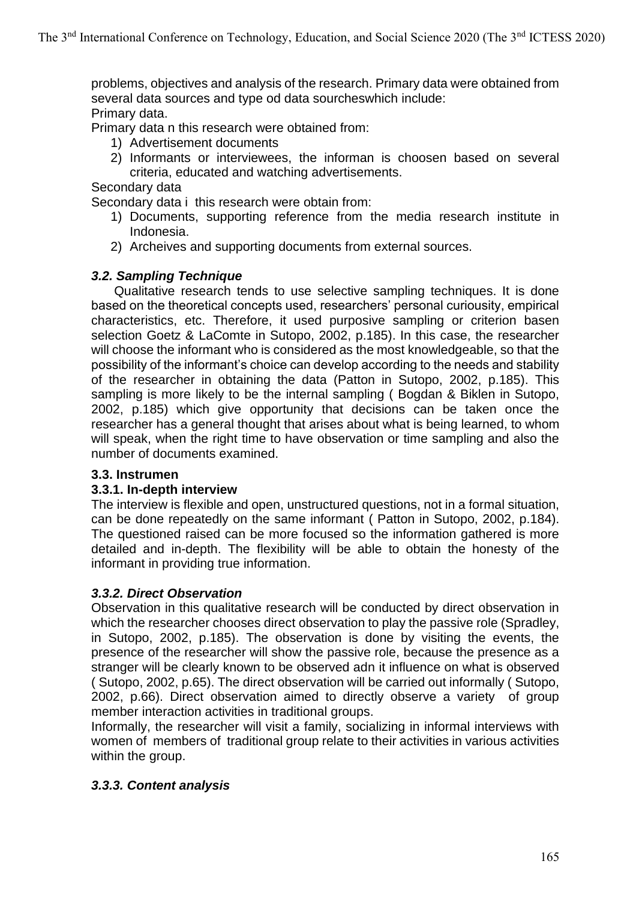problems, objectives and analysis of the research. Primary data were obtained from several data sources and type od data sourcheswhich include: Primary data.

Primary data n this research were obtained from:

- 1) Advertisement documents
- 2) Informants or interviewees, the informan is choosen based on several criteria, educated and watching advertisements.

### Secondary data

Secondary data i this research were obtain from:

- 1) Documents, supporting reference from the media research institute in Indonesia.
- 2) Archeives and supporting documents from external sources.

### *3.2. Sampling Technique*

Qualitative research tends to use selective sampling techniques. It is done based on the theoretical concepts used, researchers' personal curiousity, empirical characteristics, etc. Therefore, it used purposive sampling or criterion basen selection Goetz & LaComte in Sutopo, 2002, p.185). In this case, the researcher will choose the informant who is considered as the most knowledgeable, so that the possibility of the informant's choice can develop according to the needs and stability of the researcher in obtaining the data (Patton in Sutopo, 2002, p.185). This sampling is more likely to be the internal sampling ( Bogdan & Biklen in Sutopo, 2002, p.185) which give opportunity that decisions can be taken once the researcher has a general thought that arises about what is being learned, to whom will speak, when the right time to have observation or time sampling and also the number of documents examined.

### **3.3. Instrumen**

### **3.3.1. In-depth interview**

The interview is flexible and open, unstructured questions, not in a formal situation, can be done repeatedly on the same informant ( Patton in Sutopo, 2002, p.184). The questioned raised can be more focused so the information gathered is more detailed and in-depth. The flexibility will be able to obtain the honesty of the informant in providing true information.

### *3.3.2. Direct Observation*

Observation in this qualitative research will be conducted by direct observation in which the researcher chooses direct observation to play the passive role (Spradley, in Sutopo, 2002, p.185). The observation is done by visiting the events, the presence of the researcher will show the passive role, because the presence as a stranger will be clearly known to be observed adn it influence on what is observed ( Sutopo, 2002, p.65). The direct observation will be carried out informally ( Sutopo, 2002, p.66). Direct observation aimed to directly observe a variety of group member interaction activities in traditional groups.

Informally, the researcher will visit a family, socializing in informal interviews with women of members of traditional group relate to their activities in various activities within the group.

### *3.3.3. Content analysis*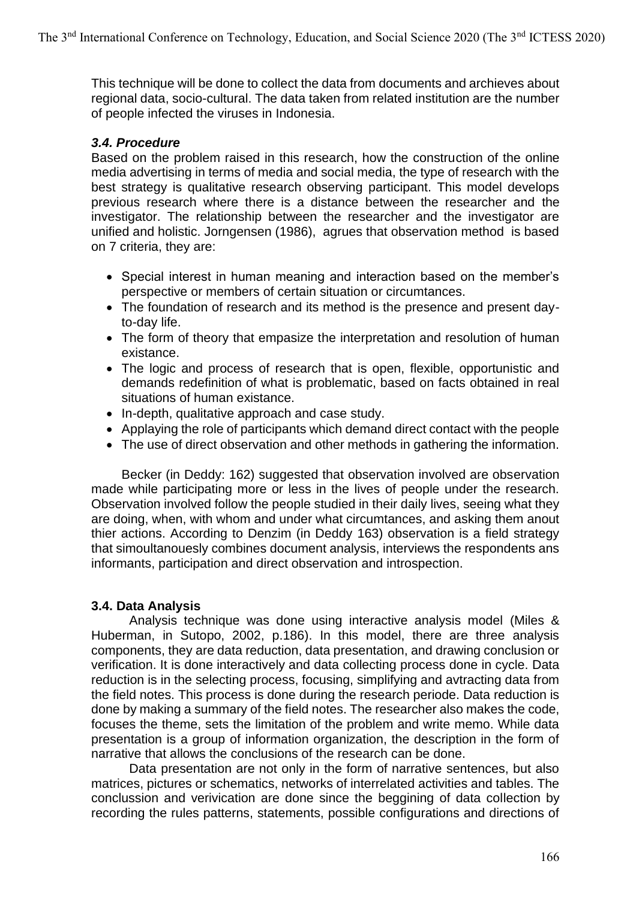This technique will be done to collect the data from documents and archieves about regional data, socio-cultural. The data taken from related institution are the number of people infected the viruses in Indonesia.

### *3.4. Procedure*

Based on the problem raised in this research, how the construction of the online media advertising in terms of media and social media, the type of research with the best strategy is qualitative research observing participant. This model develops previous research where there is a distance between the researcher and the investigator. The relationship between the researcher and the investigator are unified and holistic. Jorngensen (1986), agrues that observation method is based on 7 criteria, they are:

- Special interest in human meaning and interaction based on the member's perspective or members of certain situation or circumtances.
- The foundation of research and its method is the presence and present dayto-day life.
- The form of theory that empasize the interpretation and resolution of human existance.
- The logic and process of research that is open, flexible, opportunistic and demands redefinition of what is problematic, based on facts obtained in real situations of human existance.
- In-depth, qualitative approach and case study.
- Applaying the role of participants which demand direct contact with the people
- The use of direct observation and other methods in gathering the information.

Becker (in Deddy: 162) suggested that observation involved are observation made while participating more or less in the lives of people under the research. Observation involved follow the people studied in their daily lives, seeing what they are doing, when, with whom and under what circumtances, and asking them anout thier actions. According to Denzim (in Deddy 163) observation is a field strategy that simoultanouesly combines document analysis, interviews the respondents ans informants, participation and direct observation and introspection.

### **3.4. Data Analysis**

Analysis technique was done using interactive analysis model (Miles & Huberman, in Sutopo, 2002, p.186). In this model, there are three analysis components, they are data reduction, data presentation, and drawing conclusion or verification. It is done interactively and data collecting process done in cycle. Data reduction is in the selecting process, focusing, simplifying and avtracting data from the field notes. This process is done during the research periode. Data reduction is done by making a summary of the field notes. The researcher also makes the code, focuses the theme, sets the limitation of the problem and write memo. While data presentation is a group of information organization, the description in the form of narrative that allows the conclusions of the research can be done.

Data presentation are not only in the form of narrative sentences, but also matrices, pictures or schematics, networks of interrelated activities and tables. The conclussion and verivication are done since the beggining of data collection by recording the rules patterns, statements, possible configurations and directions of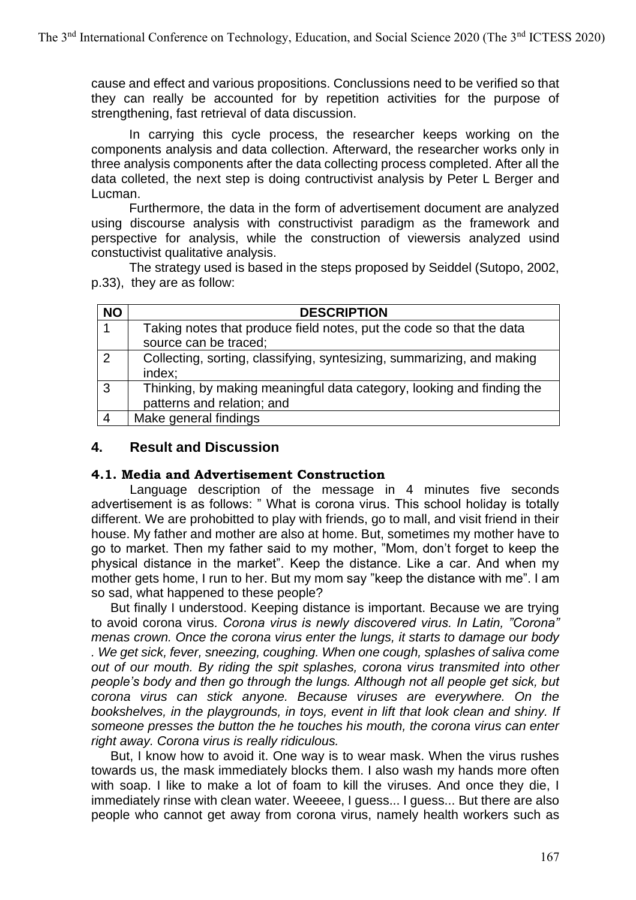cause and effect and various propositions. Conclussions need to be verified so that they can really be accounted for by repetition activities for the purpose of strengthening, fast retrieval of data discussion.

In carrying this cycle process, the researcher keeps working on the components analysis and data collection. Afterward, the researcher works only in three analysis components after the data collecting process completed. After all the data colleted, the next step is doing contructivist analysis by Peter L Berger and Lucman.

Furthermore, the data in the form of advertisement document are analyzed using discourse analysis with constructivist paradigm as the framework and perspective for analysis, while the construction of viewersis analyzed usind constuctivist qualitative analysis.

The strategy used is based in the steps proposed by Seiddel (Sutopo, 2002, p.33), they are as follow:

| <b>NO</b>     | <b>DESCRIPTION</b>                                                                                  |
|---------------|-----------------------------------------------------------------------------------------------------|
|               | Taking notes that produce field notes, put the code so that the data                                |
|               | source can be traced;                                                                               |
| $\mathcal{P}$ | Collecting, sorting, classifying, syntesizing, summarizing, and making<br>index;                    |
| ົ             | Thinking, by making meaningful data category, looking and finding the<br>patterns and relation; and |
|               | Make general findings                                                                               |

### **4. Result and Discussion**

### **4.1. Media and Advertisement Construction**

Language description of the message in 4 minutes five seconds advertisement is as follows: " What is corona virus. This school holiday is totally different. We are prohobitted to play with friends, go to mall, and visit friend in their house. My father and mother are also at home. But, sometimes my mother have to go to market. Then my father said to my mother, "Mom, don't forget to keep the physical distance in the market". Keep the distance. Like a car. And when my mother gets home, I run to her. But my mom say "keep the distance with me". I am so sad, what happened to these people?

But finally I understood. Keeping distance is important. Because we are trying to avoid corona virus*. Corona virus is newly discovered virus. In Latin, "Corona" menas crown. Once the corona virus enter the lungs, it starts to damage our body . We get sick, fever, sneezing, coughing. When one cough, splashes of saliva come out of our mouth. By riding the spit splashes, corona virus transmited into other people's body and then go through the lungs. Although not all people get sick, but corona virus can stick anyone. Because viruses are everywhere. On the bookshelves, in the playgrounds, in toys, event in lift that look clean and shiny. If someone presses the button the he touches his mouth, the corona virus can enter right away. Corona virus is really ridiculous.* 

But, I know how to avoid it. One way is to wear mask. When the virus rushes towards us, the mask immediately blocks them. I also wash my hands more often with soap. I like to make a lot of foam to kill the viruses. And once they die, I immediately rinse with clean water. Weeeee, I guess... I guess... But there are also people who cannot get away from corona virus, namely health workers such as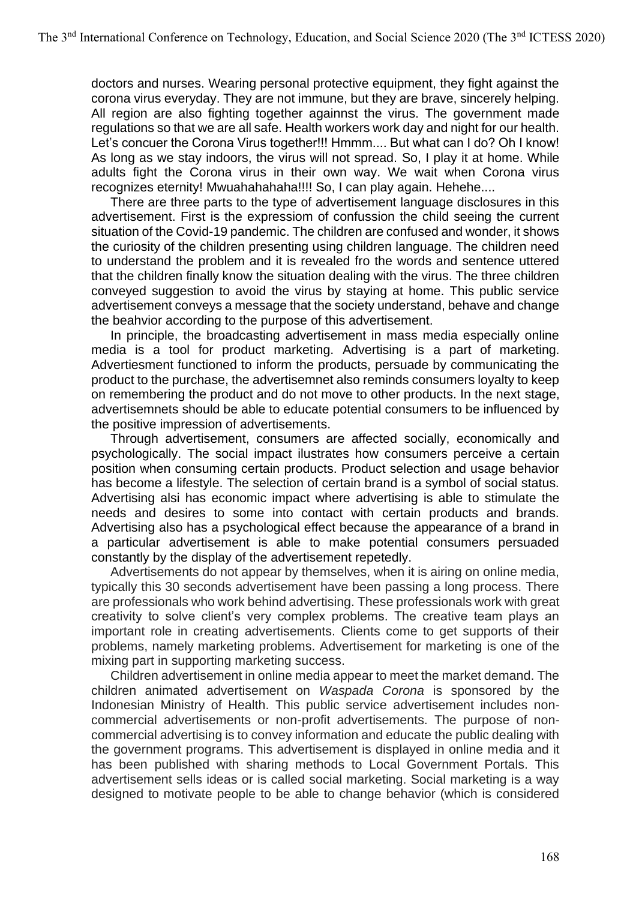doctors and nurses. Wearing personal protective equipment, they fight against the corona virus everyday. They are not immune, but they are brave, sincerely helping. All region are also fighting together againnst the virus. The government made regulations so that we are all safe. Health workers work day and night for our health. Let's concuer the Corona Virus together!!! Hmmm.... But what can I do? Oh I know! As long as we stay indoors, the virus will not spread. So, I play it at home. While adults fight the Corona virus in their own way. We wait when Corona virus recognizes eternity! Mwuahahahaha!!!! So, I can play again. Hehehe....

There are three parts to the type of advertisement language disclosures in this advertisement. First is the expressiom of confussion the child seeing the current situation of the Covid-19 pandemic. The children are confused and wonder, it shows the curiosity of the children presenting using children language. The children need to understand the problem and it is revealed fro the words and sentence uttered that the children finally know the situation dealing with the virus. The three children conveyed suggestion to avoid the virus by staying at home. This public service advertisement conveys a message that the society understand, behave and change the beahvior according to the purpose of this advertisement.

In principle, the broadcasting advertisement in mass media especially online media is a tool for product marketing. Advertising is a part of marketing. Advertiesment functioned to inform the products, persuade by communicating the product to the purchase, the advertisemnet also reminds consumers loyalty to keep on remembering the product and do not move to other products. In the next stage, advertisemnets should be able to educate potential consumers to be influenced by the positive impression of advertisements.

Through advertisement, consumers are affected socially, economically and psychologically. The social impact ilustrates how consumers perceive a certain position when consuming certain products. Product selection and usage behavior has become a lifestyle. The selection of certain brand is a symbol of social status. Advertising alsi has economic impact where advertising is able to stimulate the needs and desires to some into contact with certain products and brands. Advertising also has a psychological effect because the appearance of a brand in a particular advertisement is able to make potential consumers persuaded constantly by the display of the advertisement repetedly.

Advertisements do not appear by themselves, when it is airing on online media, typically this 30 seconds advertisement have been passing a long process. There are professionals who work behind advertising. These professionals work with great creativity to solve client's very complex problems. The creative team plays an important role in creating advertisements. Clients come to get supports of their problems, namely marketing problems. Advertisement for marketing is one of the mixing part in supporting marketing success.

Children advertisement in online media appear to meet the market demand. The children animated advertisement on *Waspada Corona* is sponsored by the Indonesian Ministry of Health. This public service advertisement includes noncommercial advertisements or non-profit advertisements. The purpose of noncommercial advertising is to convey information and educate the public dealing with the government programs. This advertisement is displayed in online media and it has been published with sharing methods to Local Government Portals. This advertisement sells ideas or is called social marketing. Social marketing is a way designed to motivate people to be able to change behavior (which is considered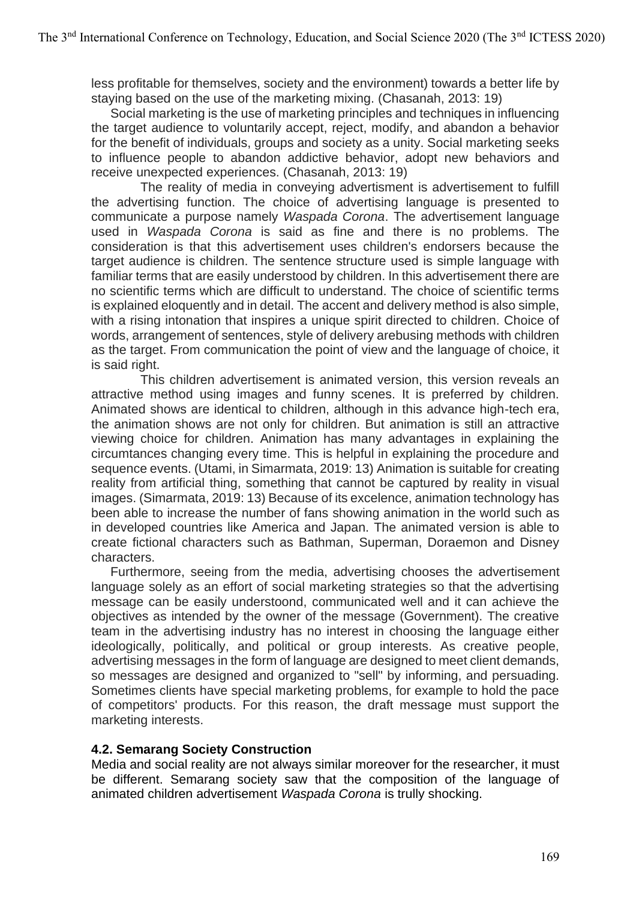less profitable for themselves, society and the environment) towards a better life by staying based on the use of the marketing mixing. (Chasanah, 2013: 19)

Social marketing is the use of marketing principles and techniques in influencing the target audience to voluntarily accept, reject, modify, and abandon a behavior for the benefit of individuals, groups and society as a unity. Social marketing seeks to influence people to abandon addictive behavior, adopt new behaviors and receive unexpected experiences. (Chasanah, 2013: 19)

The reality of media in conveying advertisment is advertisement to fulfill the advertising function. The choice of advertising language is presented to communicate a purpose namely *Waspada Corona*. The advertisement language used in *Waspada Corona* is said as fine and there is no problems. The consideration is that this advertisement uses children's endorsers because the target audience is children. The sentence structure used is simple language with familiar terms that are easily understood by children. In this advertisement there are no scientific terms which are difficult to understand. The choice of scientific terms is explained eloquently and in detail. The accent and delivery method is also simple, with a rising intonation that inspires a unique spirit directed to children. Choice of words, arrangement of sentences, style of delivery arebusing methods with children as the target. From communication the point of view and the language of choice, it is said right.

This children advertisement is animated version, this version reveals an attractive method using images and funny scenes. It is preferred by children. Animated shows are identical to children, although in this advance high-tech era, the animation shows are not only for children. But animation is still an attractive viewing choice for children. Animation has many advantages in explaining the circumtances changing every time. This is helpful in explaining the procedure and sequence events. (Utami, in Simarmata, 2019: 13) Animation is suitable for creating reality from artificial thing, something that cannot be captured by reality in visual images. (Simarmata, 2019: 13) Because of its excelence, animation technology has been able to increase the number of fans showing animation in the world such as in developed countries like America and Japan. The animated version is able to create fictional characters such as Bathman, Superman, Doraemon and Disney characters.

Furthermore, seeing from the media, advertising chooses the advertisement language solely as an effort of social marketing strategies so that the advertising message can be easily understoond, communicated well and it can achieve the objectives as intended by the owner of the message (Government). The creative team in the advertising industry has no interest in choosing the language either ideologically, politically, and political or group interests. As creative people, advertising messages in the form of language are designed to meet client demands, so messages are designed and organized to "sell" by informing, and persuading. Sometimes clients have special marketing problems, for example to hold the pace of competitors' products. For this reason, the draft message must support the marketing interests.

### **4.2. Semarang Society Construction**

Media and social reality are not always similar moreover for the researcher, it must be different. Semarang society saw that the composition of the language of animated children advertisement *Waspada Corona* is trully shocking.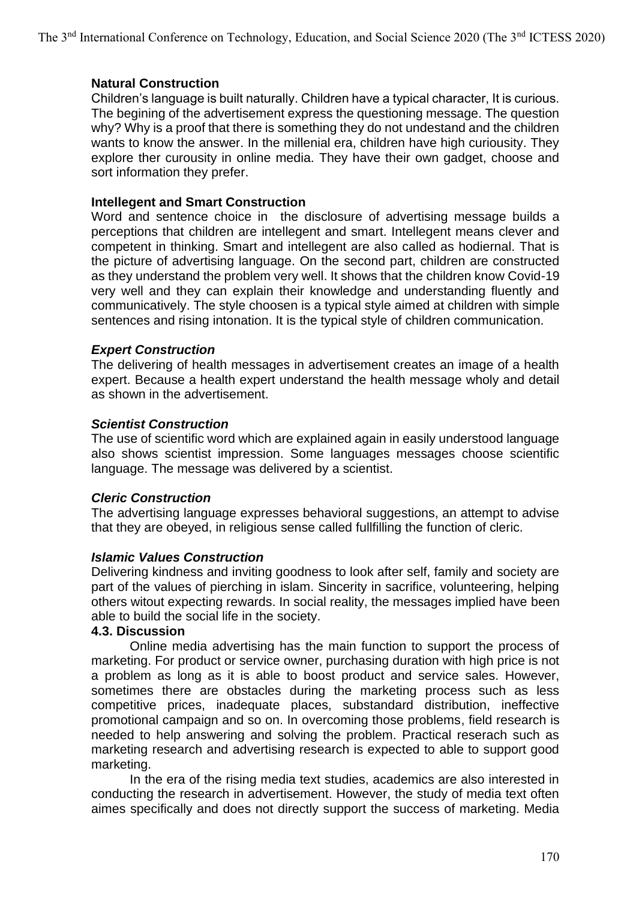### **Natural Construction**

Children's language is built naturally. Children have a typical character, It is curious. The begining of the advertisement express the questioning message. The question why? Why is a proof that there is something they do not undestand and the children wants to know the answer. In the millenial era, children have high curiousity. They explore ther curousity in online media. They have their own gadget, choose and sort information they prefer.

### **Intellegent and Smart Construction**

Word and sentence choice in the disclosure of advertising message builds a perceptions that children are intellegent and smart. Intellegent means clever and competent in thinking. Smart and intellegent are also called as hodiernal. That is the picture of advertising language. On the second part, children are constructed as they understand the problem very well. It shows that the children know Covid-19 very well and they can explain their knowledge and understanding fluently and communicatively. The style choosen is a typical style aimed at children with simple sentences and rising intonation. It is the typical style of children communication.

### *Expert Construction*

The delivering of health messages in advertisement creates an image of a health expert. Because a health expert understand the health message wholy and detail as shown in the advertisement.

### *Scientist Construction*

The use of scientific word which are explained again in easily understood language also shows scientist impression. Some languages messages choose scientific language. The message was delivered by a scientist.

### *Cleric Construction*

The advertising language expresses behavioral suggestions, an attempt to advise that they are obeyed, in religious sense called fullfilling the function of cleric.

### *Islamic Values Construction*

Delivering kindness and inviting goodness to look after self, family and society are part of the values of pierching in islam. Sincerity in sacrifice, volunteering, helping others witout expecting rewards. In social reality, the messages implied have been able to build the social life in the society.

### **4.3. Discussion**

Online media advertising has the main function to support the process of marketing. For product or service owner, purchasing duration with high price is not a problem as long as it is able to boost product and service sales. However, sometimes there are obstacles during the marketing process such as less competitive prices, inadequate places, substandard distribution, ineffective promotional campaign and so on. In overcoming those problems, field research is needed to help answering and solving the problem. Practical reserach such as marketing research and advertising research is expected to able to support good marketing.

In the era of the rising media text studies, academics are also interested in conducting the research in advertisement. However, the study of media text often aimes specifically and does not directly support the success of marketing. Media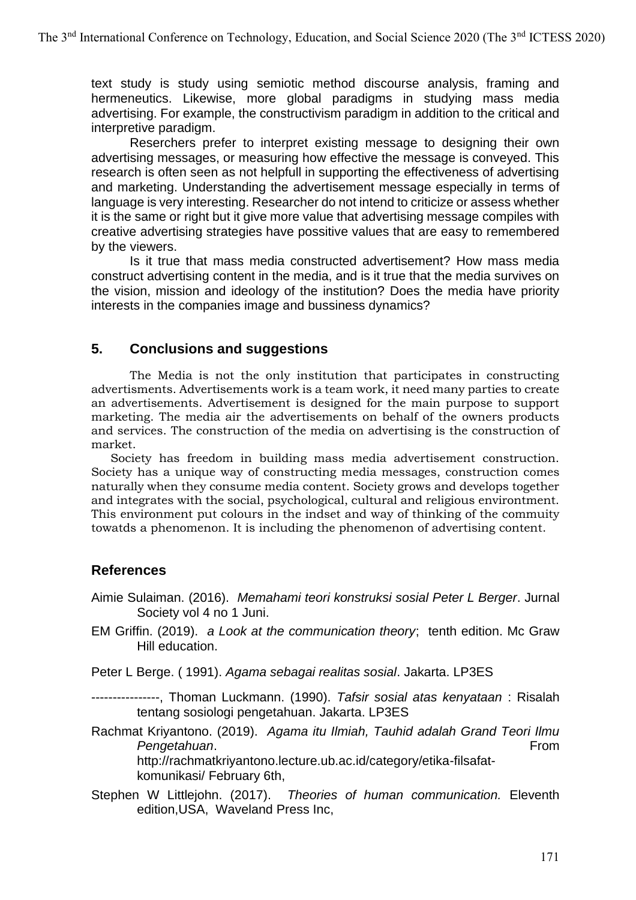text study is study using semiotic method discourse analysis, framing and hermeneutics. Likewise, more global paradigms in studying mass media advertising. For example, the constructivism paradigm in addition to the critical and interpretive paradigm.

Reserchers prefer to interpret existing message to designing their own advertising messages, or measuring how effective the message is conveyed. This research is often seen as not helpfull in supporting the effectiveness of advertising and marketing. Understanding the advertisement message especially in terms of language is very interesting. Researcher do not intend to criticize or assess whether it is the same or right but it give more value that advertising message compiles with creative advertising strategies have possitive values that are easy to remembered by the viewers.

Is it true that mass media constructed advertisement? How mass media construct advertising content in the media, and is it true that the media survives on the vision, mission and ideology of the institution? Does the media have priority interests in the companies image and bussiness dynamics?

## **5. Conclusions and suggestions**

The Media is not the only institution that participates in constructing advertisments. Advertisements work is a team work, it need many parties to create an advertisements. Advertisement is designed for the main purpose to support marketing. The media air the advertisements on behalf of the owners products and services. The construction of the media on advertising is the construction of market.

Society has freedom in building mass media advertisement construction. Society has a unique way of constructing media messages, construction comes naturally when they consume media content. Society grows and develops together and integrates with the social, psychological, cultural and religious environtment. This environment put colours in the indset and way of thinking of the commuity towatds a phenomenon. It is including the phenomenon of advertising content.

## **References**

- Aimie Sulaiman. (2016). *Memahami teori konstruksi sosial Peter L Berger*. Jurnal Society vol 4 no 1 Juni.
- EM Griffin. (2019). *a Look at the communication theory*; tenth edition. Mc Graw Hill education.
- Peter L Berge. ( 1991). *Agama sebagai realitas sosial*. Jakarta. LP3ES

----------------, Thoman Luckmann. (1990). *Tafsir sosial atas kenyataan* : Risalah tentang sosiologi pengetahuan. Jakarta. LP3ES

Rachmat Kriyantono. (2019). *Agama itu Ilmiah, Tauhid adalah Grand Teori Ilmu*  **Pengetahuan.** From http://rachmatkriyantono.lecture.ub.ac.id/category/etika-filsafat-

komunikasi/ February 6th,

Stephen W Littlejohn. (2017). *Theories of human communication.* Eleventh edition,USA, Waveland Press Inc,